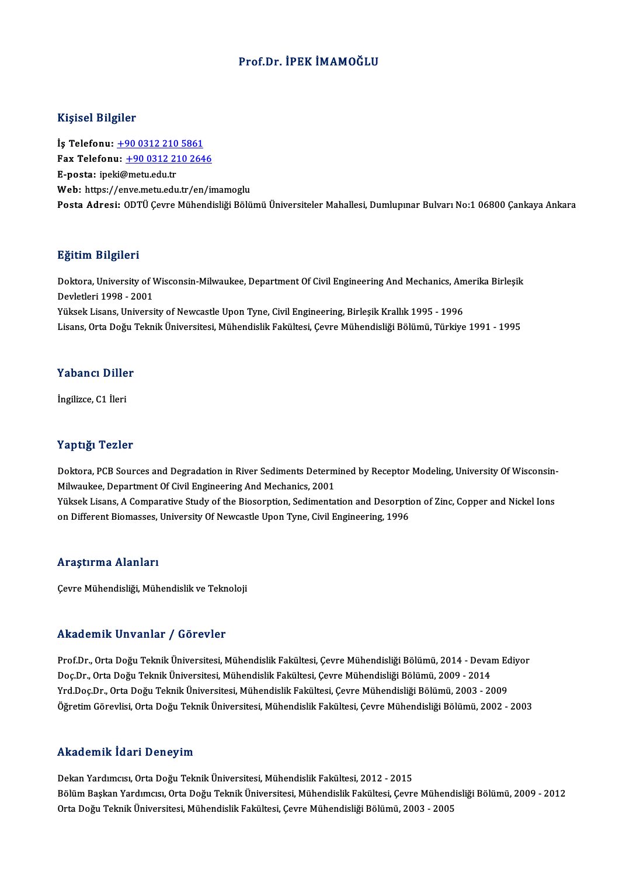# Prof.Dr. İPEK İMAMOĞLU

### Kişisel Bilgiler

Kişisel Bilgiler<br>İş Telefonu: <u>+90 0312 210 5861</u><br>Fax Telefonu: 190 0312 210 264 Fax Telefonu:  $\pm 9003122102646$ <br>E-posta: ipeki@metu.edu.tr İş Telefonu: <u>+90 0312 210</u><br>Fax Telefonu: <u>+90 0312 21</u><br>E-posta: ipe[ki@metu.edu.tr](tel:+90 0312 210 5861)<br>Web: https://enve.metu.edu. Web: https://e[nve.metu.edu.tr/en/im](tel:+90 0312 210 2646)amoglu Posta Adresi: ODTÜ Çevre Mühendisliği Bölümü Üniversiteler Mahallesi, Dumlupınar Bulvarı No:1 06800 Çankaya Ankara

#### Eğitim Bilgileri

**Eğitim Bilgileri**<br>Doktora, University of Wisconsin-Milwaukee, Department Of Civil Engineering And Mechanics, Amerika Birleşik<br>Revletleri 1998 - 2001 Devletlerining Devletleri<br>Devletleri 1998 - 2001<br>Vülgels Lisans, Universi Doktora, University of Wisconsin-Milwaukee, Department Of Civil Engineering And Mechanics, Am<br>Devletleri 1998 - 2001<br>Yüksek Lisans, University of Newcastle Upon Tyne, Civil Engineering, Birleşik Krallık 1995 - 1996<br>Lisans, Devletleri 1998 - 2001<br>Yüksek Lisans, University of Newcastle Upon Tyne, Civil Engineering, Birleşik Krallık 1995 - 1996<br>Lisans, Orta Doğu Teknik Üniversitesi, Mühendislik Fakültesi, Cevre Mühendisliği Bölümü, Türkiye 1991

### Yabancı Diller

İngilizce, C1 İleri

## Yaptığı Tezler

Yaptığı Tezler<br>Doktora, PCB Sources and Degradation in River Sediments Determined by Receptor Modeling, University Of Wisconsin-<br>Milwaukee, Department Of Civil Engineering And Mochanics 2001 Tup ught Formulation<br>Doktora, PCB Sources and Degradation in River Sediments Determ<br>Milwaukee, Department Of Civil Engineering And Mechanics, 2001<br>Vilkeek Lisans, A Comparative Study of the Bioserntion, Sedimente Doktora, PCB Sources and Degradation in River Sediments Determined by Receptor Modeling, University Of Wisconsin-<br>Milwaukee, Department Of Civil Engineering And Mechanics, 2001<br>Yüksek Lisans, A Comparative Study of the Bio

Milwaukee, Department Of Civil Engineering And Mechanics, 2001<br>Yüksek Lisans, A Comparative Study of the Biosorption, Sedimentation and Desorption of Zinc, Copper and Nickel Ions<br>on Different Biomasses, University Of Newca

#### Araştırma Alanları

Çevre Mühendisliği, Mühendislik ve Teknoloji

#### Akademik Unvanlar / Görevler

Prof.Dr., Orta Doğu Teknik Üniversitesi, Mühendislik Fakültesi, Çevre Mühendisliği Bölümü, 2014 - Devam Ediyor rrittat oririk Sirvaniar " / "dör ovror"<br>Prof.Dr., Orta Doğu Teknik Üniversitesi, Mühendislik Fakültesi, Çevre Mühendisliği Bölümü, 2014 - Devai<br>Doç.Dr., Orta Doğu Teknik Üniversitesi, Mühendislik Fakültesi, Çevre Mühendis Prof.Dr., Orta Doğu Teknik Üniversitesi, Mühendislik Fakültesi, Çevre Mühendisliği Bölümü, 2014 - Devam Ec<br>Doç.Dr., Orta Doğu Teknik Üniversitesi, Mühendislik Fakültesi, Çevre Mühendisliği Bölümü, 2009 - 2014<br>Yrd.Doç.Dr., Doç.Dr., Orta Doğu Teknik Üniversitesi, Mühendislik Fakültesi, Çevre Mühendisliği Bölümü, 2009 - 2014<br>Yrd.Doç.Dr., Orta Doğu Teknik Üniversitesi, Mühendislik Fakültesi, Çevre Mühendisliği Bölümü, 2003 - 2009<br>Öğretim Görevl Öğretim Görevlisi, Orta Doğu Teknik Üniversitesi, Mühendislik Fakültesi, Çevre Mühendisliği Bölümü, 2002 - 2003<br>Akademik İdari Deneyim

Dekan Yardımcısı, Orta Doğu Teknik Üniversitesi, Mühendislik Fakültesi, 2012 - 2015 Bölüm Başkan Yardımcısı, Orta Doğu Teknik Üniversitesi, Mühendislik Fakültesi, Çevre Mühendisliği Bölümü, 2009 - 2012 Orta Doğu Teknik Üniversitesi, Mühendislik Fakültesi, Çevre Mühendisliği Bölümü, 2003 - 2005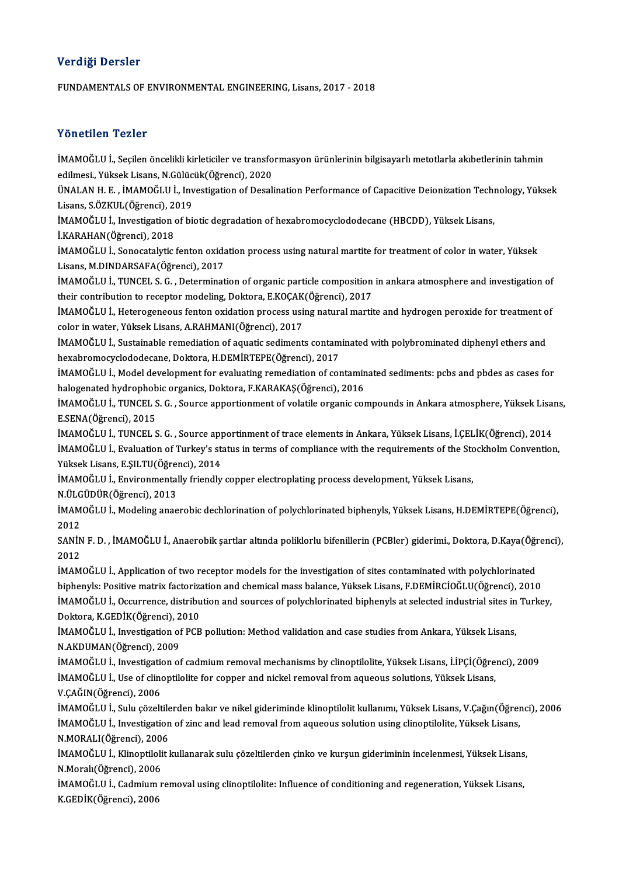# Verdiği Dersler

FUNDAMENTALSOF ENVIRONMENTAL ENGINEERING,Lisans,2017 -2018

## Yönetilen Tezler

Yönetilen Tezler<br>İMAMOĞLU İ., Seçilen öncelikli kirleticiler ve transformasyon ürünlerinin bilgisayarlı metotlarla akıbetlerinin tahmin<br>Adilmesi, Yüksek Lisars, N.Gükisük(Öğrensi), 2020 edilmesi.<br>İMAMOĞLU İ., Seçilen öncelikli kirleticiler ve transfo<br>edilmesi., Yüksek Lisans, N.Gülücük(Öğrenci), 2020<br>ÜNALAN H.F. . İMAMOĞLU İ. Javçetizetion of Deseli İMAMOĞLU İ., Seçilen öncelikli kirleticiler ve transformasyon ürünlerinin bilgisayarlı metotlarla akıbetlerinin tahmin<br>edilmesi., Yüksek Lisans, N.Gülücük(Öğrenci), 2020<br>ÜNALAN H. E. , İMAMOĞLU İ., Investigation of Desalin

edilmesi., Yüksek Lisans, N.Gülücük(Öğrenci), 2020<br>ÜNALAN H. E. , İMAMOĞLU İ., Investigation of Desal<br>Lisans, S.ÖZKUL(Öğrenci), 2019 ÜNALAN H. E. , İMAMOĞLU İ., Investigation of Desalination Performance of Capacitive Deionization Techi<br>Lisans, S.ÖZKUL(Öğrenci), 2019<br>İMAMOĞLU İ., Investigation of biotic degradation of hexabromocyclododecane (HBCDD), Yüks

İMAMOĞLU İ., Investigation of biotic degradation of hexabromocyclododecane (HBCDD), Yüksek Lisans,<br>İ.KARAHAN(Öğrenci), 2018

İMAMOĞLU İ., Sonocatalytic fenton oxidation process using natural martite for treatment of color in water, Yüksek Lisans,M.DINDARSAFA(Öğrenci),2017 İMAMOĞLU İ., Sonocatalytic fenton oxidation process using natural martite for treatment of color in water, Yüksek<br>Lisans, M.DINDARSAFA(Öğrenci), 2017<br>İMAMOĞLU İ., TUNCEL S. G. , Determination of organic particle compositio

Lisans, M.DINDARSAFA(Öğrenci), 2017<br>İMAMOĞLU İ., TUNCEL S. G. , Determination of organic particle composition<br>their contribution to receptor modeling, Doktora, E.KOÇAK(Öğrenci), 2017<br>İMAMOĞLU İ. Heterogeneous fonton evidet İMAMOĞLU İ., TUNCEL S. G. , Determination of organic particle composition in ankara atmosphere and investigation of<br>their contribution to receptor modeling, Doktora, E.KOÇAK(Öğrenci), 2017<br>İMAMOĞLU İ., Heterogeneous fenton

their contribution to receptor modeling, Doktora, E.KOÇAK(Öğrenci), 2017<br>İMAMOĞLU İ., Heterogeneous fenton oxidation process using natural martite and hydrogen peroxide for treatment c<br>color in water, Yüksek Lisans, A.RAHM IMAMOĞLU İ., Heterogeneous fenton oxidation process using natural martite and hydrogen peroxide for treatment of

hexabromocyclododecane,Doktora,H.DEMİRTEPE(Öğrenci),2017 İMAMOĞLU İ., Sustainable remediation of aquatic sediments contaminated with polybrominated diphenyl ethers and<br>hexabromocyclododecane, Doktora, H.DEMİRTEPE(Öğrenci), 2017<br>İMAMOĞLU İ., Model development for evaluating remed

hexabromocyclododecane, Doktora, H.DEMİRTEPE(Öğrenci), 2017<br>İMAMOĞLU İ., Model development for evaluating remediation of contamin<br>halogenated hydrophobic organics, Doktora, F.KARAKAŞ(Öğrenci), 2016<br>İMAMOĞLU İ. TUNCEL S.C., İMAMOĞLU İ., Model development for evaluating remediation of contaminated sediments: pcbs and pbdes as cases for<br>halogenated hydrophobic organics, Doktora, F.KARAKAŞ(Öğrenci), 2016<br>İMAMOĞLU İ., TUNCEL S. G. , Source apport

halogenated hydrophob<br>İMAMOĞLU İ., TUNCEL S<br>E.SENA(Öğrenci), 2015<br>İMAMOĞLU İ. TUNCEL S İMAMOĞLU İ., TUNCEL S. G. , Source apportionment of volatile organic compounds in Ankara atmosphere, Yüksek Lisan<br>E.SENA(Öğrenci), 2015<br>İMAMOĞLU İ., TUNCEL S. G. , Source apportinment of trace elements in Ankara, Yüksek Li

E.SENA(Öğrenci), 2015<br>İMAMOĞLU İ., TUNCEL S. G. , Source apportinment of trace elements in Ankara, Yüksek Lisans, İ.ÇELİK(Öğrenci), 2014<br>İMAMOĞLU İ., Evaluation of Turkey's status in terms of compliance with the requiremen İMAMOĞLU İ., TUNCEL S. G. , Source app<br>İMAMOĞLU İ., Evaluation of Turkey's st.<br>Yüksek Lisans, E.ŞILTU(Öğrenci), 2014<br>İMAMOĞLU İ. Enviranmentally friendly İMAMOĞLU İ., Evaluation of Turkey's status in terms of compliance with the requirements of the Sto<br>Yüksek Lisans, E.ŞILTU(Öğrenci), 2014<br>İMAMOĞLU İ., Environmentally friendly copper electroplating process development, Yüks Yüksek Lisans, E.ŞILTU(Öğren<br>İMAMOĞLU İ., Environmental<br>N.ÜLGÜDÜR(Öğrenci), 2013<br>İMAMOĞLU İ. Modaling anas

İMAMOĞLU İ., Environmentally friendly copper electroplating process development, Yüksek Lisans,<br>N.ÜLGÜDÜR(Öğrenci), 2013<br>İMAMOĞLU İ., Modeling anaerobic dechlorination of polychlorinated biphenyls, Yüksek Lisans, H.DEMİRTE N ÜLG<br>İMAM<br>2012<br>SANİN İMAMOĞLU İ., Modeling anaerobic dechlorination of polychlorinated biphenyls, Yüksek Lisans, H.DEMİRTEPE(Öğrenci),<br>2012<br>SANİN F. D. , İMAMOĞLU İ., Anaerobik şartlar altında poliklorlu bifenillerin (PCBler) giderimi., Doktor

2012<br>SANİN<br>2012<br>İMAM SANİN F. D. , İMAMOĞLU İ., Anaerobik şartlar altında poliklorlu bifenillerin (PCBler) giderimi., Doktora, D.Kaya(Öğr<br>2012<br>İMAMOĞLU İ., Application of two receptor models for the investigation of sites contaminated with pol

2012<br>İMAMOĞLU İ., Application of two receptor models for the investigation of sites contaminated with polychlorinated<br>biphenyls: Positive matrix factorization and chemical mass balance, Yüksek Lisans, F.DEMİRCİOĞLU(Öğrenci İMAMOĞLU İ., Application of two receptor models for the investigation of sites contaminated with polychlorinated<br>biphenyls: Positive matrix factorization and chemical mass balance, Yüksek Lisans, F.DEMİRCİOĞLU(Öğrenci), 20 biphenyls: Positive matrix factoriza<br>İMAMOĞLU İ., Occurrence, distribu<br>Doktora, K.GEDİK(Öğrenci), 2010<br>İMAMOĞLU İ. Investisation of PCP İMAMOĞLU İ., Occurrence, distribution and sources of polychlorinated biphenyls at selected industrial sites in<br>Doktora, K.GEDİK(Öğrenci), 2010<br>İMAMOĞLU İ., Investigation of PCB pollution: Method validation and case studies

Doktora, K.GEDİK(Öğrenci), 2<br>İMAMOĞLU İ., Investigation of<br>N.AKDUMAN(Öğrenci), 2009<br>İMAMOĞLU İ. Investigation of İMAMOĞLU İ., Investigation of PCB pollution: Method validation and case studies from Ankara, Yüksek Lisans,<br>N.AKDUMAN(Öğrenci), 2009<br>İMAMOĞLU İ., Investigation of cadmium removal mechanisms by clinoptilolite, Yüksek Lisans

N.AKDUMAN(Öğrenci), 2009<br>İMAMOĞLU İ., Investigation of cadmium removal mechanisms by clinoptilolite, Yüksek Lisans, İ.İPÇİ(Öğre<br>İMAMOĞLU İ., Use of clinoptilolite for copper and nickel removal from aqueous solutions, Yükse İMAMOĞLU İ., Investigati<br>İMAMOĞLU İ., Use of cline<br>V.ÇAĞIN(Öğrenci), 2006<br>İMAMOĞLU İ. Sulu gözelt İMAMOĞLU İ., Use of clinoptilolite for copper and nickel removal from aqueous solutions, Yüksek Lisans,<br>V.ÇAĞIN(Öğrenci), 2006<br>İMAMOĞLU İ., Sulu çözeltilerden bakır ve nikel gideriminde klinoptilolit kullanımı, Yüksek Lisa

V.ÇAĞIN(Öğrenci), 2006<br>İMAMOĞLU İ., Sulu çözeltilerden bakır ve nikel gideriminde klinoptilolit kullanımı, Yüksek Lisans, V.Çağın(Öğren<br>İMAMOĞLU İ., Investigation of zinc and lead removal from aqueous solution using clinop İMAMOĞLU İ., Sulu çözeltile<br>İMAMOĞLU İ., Investigation<br>N.MORALI(Öğrenci), 2006<br>İMAMOĞLU İ., Klinontilelit l İMAMOĞLU İ., Investigation of zinc and lead removal from aqueous solution using clinoptilolite, Yüksek Lisans,<br>N.MORALI(Öğrenci), 2006<br>İMAMOĞLU İ., Klinoptilolit kullanarak sulu çözeltilerden çinko ve kurşun gideriminin in

N.MORALI(Öğrenci), 200<br>İMAMOĞLU İ., Klinoptiloli<br>N.Moralı(Öğrenci), 2006<br>İMAMOĞLU İ. Codmium n İMAMOĞLU İ., Klinoptilolit kullanarak sulu çözeltilerden çinko ve kurşun gideriminin incelenmesi, Yüksek Lisans<br>N.Moralı(Öğrenci), 2006<br>İMAMOĞLU İ., Cadmium removal using clinoptilolite: Influence of conditioning and regen

N.Moralı(Öğrenci), 2006<br>İMAMOĞLU İ., Cadmium<br>K.GEDİK(Öğrenci), 2006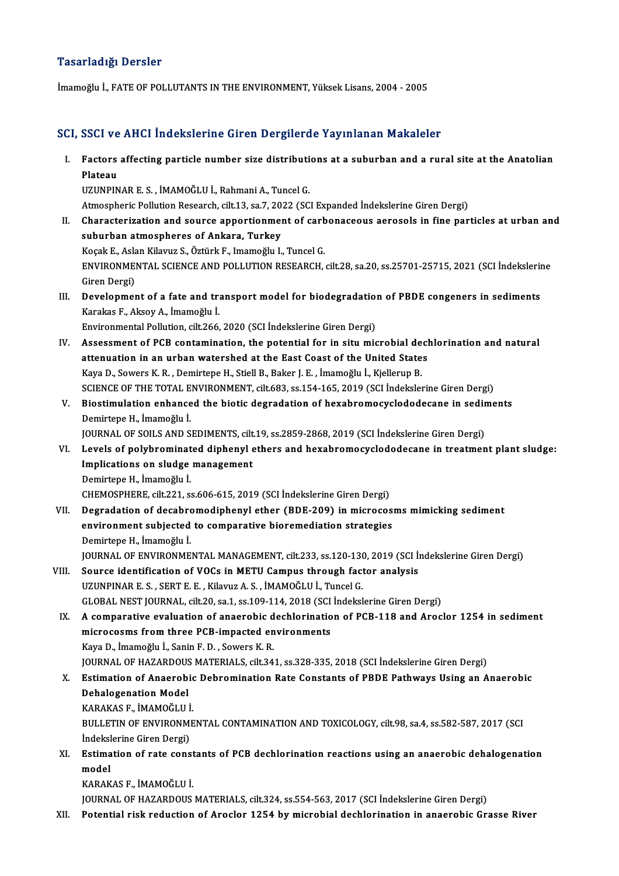## Tasarladığı Dersler

İmamoğlu İ., FATE OF POLLUTANTS IN THE ENVIRONMENT, Yüksek Lisans, 2004 - 2005

# SCI, SSCI ve AHCI İndekslerine Giren Dergilerde Yayınlanan Makaleler

CI, SSCI ve AHCI İndekslerine Giren Dergilerde Yayınlanan Makaleler<br>I. Factors affecting particle number size distributions at a suburban and a rural site at the Anatolian<br>Risteeu **BBCITVE<br>Factors<br>Plateau** Factors affecting particle number size distributi<br>Plateau<br>UZUNPINAR E. S., İMAMOĞLU İ., Rahmani A., Tuncel G.<br>Atmosphania Pollution Pessensh silt 12, sə 7, 2022 (SC Plateau<br>UZUNPINAR E. S. , İMAMOĞLU İ., Rahmani A., Tuncel G.<br>Atmospheric Pollution Research, cilt.13, sa.7, 2022 (SCI Expanded İndekslerine Giren Dergi)<br>Characteriration and seuree annertionment of sarbonaseeus aerosels in

UZUNPINAR E. S. , İMAMOĞLU İ., Rahmani A., Tuncel G.<br>Atmospheric Pollution Research, cilt.13, sa.7, 2022 (SCI Expanded İndekslerine Giren Dergi)<br>II. Characterization and source apportionment of carbonaceous aerosols in fin Atmospheric Pollution Research, cilt.13, sa.7, 20<br>Characterization and source apportionmen<br>suburban atmospheres of Ankara, Turkey<br>Kosak E. Aslan Kilayuz S. Östürk E. Imamoğlu I. Characterization and source apportionment of carb<br>suburban atmospheres of Ankara, Turkey<br>Koçak E., Aslan Kilavuz S., Öztürk F., Imamoğlu I., Tuncel G.<br>ENWPONMENTAL SCIENCE AND POLLUTION PESEAPCH

suburban atmospheres of Ankara, Turkey<br>Koçak E., Aslan Kilavuz S., Öztürk F., Imamoğlu I., Tuncel G.<br>ENVIRONMENTAL SCIENCE AND POLLUTION RESEARCH, cilt.28, sa.20, ss.25701-25715, 2021 (SCI İndekslerine<br>Ciron Dergi) Koçak E., Asla<br>ENVIRONME<br>Giren Dergi)<br>Develonmer ENVIRONMENTAL SCIENCE AND POLLUTION RESEARCH, cilt.28, sa.20, ss.25701-25715, 2021 (SCI İndekslerin<br>Giren Dergi)<br>III. Development of a fate and transport model for biodegradation of PBDE congeners in sediments<br>Karakas E. A

Giren Dergi)<br>Development of a fate and tr:<br>Karakas F., Aksoy A., İmamoğlu İ.<br>Environmental Bollution, cilt 266 Development of a fate and transport model for biodegradation<br>Karakas F., Aksoy A., İmamoğlu İ.<br>Environmental Pollution, cilt.266, 2020 (SCI İndekslerine Giren Dergi)<br>Assessment of PCB sentemination, the potential for in si

- Karakas F., Aksoy A., İmamoğlu İ.<br>Environmental Pollution, cilt.266, 2020 (SCI İndekslerine Giren Dergi)<br>IV. Assessment of PCB contamination, the potential for in situ microbial dechlorination and natural<br>Attenuation in an Environmental Pollution, cilt.266, 2020 (SCI İndekslerine Giren Dergi)<br>Assessment of PCB contamination, the potential for in situ microbial decl<br>attenuation in an urban watershed at the East Coast of the United States<br>Kava Assessment of PCB contamination, the potential for in situ microbial de<br>attenuation in an urban watershed at the East Coast of the United State<br>Kaya D., Sowers K.R. , Demirtepe H., Stiell B., Baker J. E. , İmamoğlu İ., Kje attenuation in an urban watershed at the East Coast of the United States<br>Kaya D., Sowers K. R. , Demirtepe H., Stiell B., Baker J. E. , İmamoğlu İ., Kjellerup B.<br>SCIENCE OF THE TOTAL ENVIRONMENT, cilt.683, ss.154-165, 2019 Kaya D., Sowers K. R. , Demirtepe H., Stiell B., Baker J. E. , İmamoğlu İ., Kjellerup B.<br>SCIENCE OF THE TOTAL ENVIRONMENT, cilt.683, ss.154-165, 2019 (SCI İndekslerine Giren Dergi)<br>V. Biostimulation enhanced the biotic deg
- SCIENCE OF THE TOTAL E<br>Biostimulation enhance<br>Demirtepe H., İmamoğlu İ.<br>JOUPNAL OF SOU S AND S Biostimulation enhanced the biotic degradation of hexabromocyclododecane in sedir<br>Demirtepe H., İmamoğlu İ.<br>JOURNAL OF SOILS AND SEDIMENTS, cilt.19, ss.2859-2868, 2019 (SCI İndekslerine Giren Dergi)<br>Lavels of nelyhrominate

Demirtepe H., İmamoğlu İ.<br>JOURNAL OF SOILS AND SEDIMENTS, cilt.19, ss.2859-2868, 2019 (SCI İndekslerine Giren Dergi)<br>VI. Levels of polybrominated diphenyl ethers and hexabromocyclododecane in treatment plant sludge:<br>Im JOURNAL OF SOILS AND SEDIMENTS, cilt<br>Levels of polybrominated diphenyl e<br>Implications on sludge management<br>Domirtono H. İmamoğlu İ Levels of polybrominat<br>Implications on sludge<br>Demirtepe H., İmamoğlu İ.<br>CHEMOSPHEPE cilt 221-S Implications on sludge management<br>Demirtepe H., İmamoğlu İ.<br>CHEMOSPHERE, cilt.221, ss.606-615, 2019 (SCI İndekslerine Giren Dergi)<br>Desredation of desahremedinhenyl ether (BDE 200) in misreese

- Demirtepe H., İmamoğlu İ.<br>CHEMOSPHERE, cilt.221, ss.606-615, 2019 (SCI İndekslerine Giren Dergi)<br>VII. Degradation of decabromodiphenyl ether (BDE-209) in microcosms mimicking sediment<br>Anyironment subjected to componeti CHEMOSPHERE, cilt.221, ss.606-615, 2019 (SCI İndekslerine Giren Dergi)<br>Degradation of decabromodiphenyl ether (BDE-209) in microcos<br>environment subjected to comparative bioremediation strategies<br>Demirtana H. İmamoğlu İ Degradation of decabro<br>environment subjected<br>Demirtepe H., İmamoğlu İ.<br>IOUPNAL OF ENVIRONME environment subjected to comparative bioremediation strategies<br>Demirtepe H., İmamoğlu İ.<br>JOURNAL OF ENVIRONMENTAL MANAGEMENT, cilt.233, ss.120-130, 2019 (SCI İndekslerine Giren Dergi)
- VIII. Source identification of VOCs in METU Campus through factor analysis UZUNPINARE.S. ,SERTE.E. ,KilavuzA.S. , İMAMOĞLUİ.,TuncelG. GLOBAL NEST JOURNAL, cilt.20, sa.1, ss.109-114, 2018 (SCI İndekslerine Giren Dergi)
	- IX. A comparative evaluation of anaerobic dechlorination of PCB-118 and Aroclor 1254 in sediment GLOBAL NEST JOURNAL, cilt.20, sa.1, ss.109-114, 2018 (SCI<br>A comparative evaluation of anaerobic dechlorinatio<br>microcosms from three PCB-impacted environments<br>Kava D. İmamažlu İ. Sanin E. D. Savara K. B. A comparative evaluation of anaerobic d<br>microcosms from three PCB-impacted en<br>Kaya D., İmamoğlu İ., Sanin F. D. , Sowers K. R.<br>JOUPMAL OF HAZAPDOUS MATERIALS, silt 24 Kaya D., İmamoğlu İ., Sanin F. D. , Sowers K. R.<br>JOURNAL OF HAZARDOUS MATERIALS, cilt.341, ss.328-335, 2018 (SCI İndekslerine Giren Dergi) Kaya D., İmamoğlu İ., Sanin F. D. , Sowers K. R.<br>JOURNAL OF HAZARDOUS MATERIALS, cilt.341, ss.328-335, 2018 (SCI İndekslerine Giren Dergi)<br>X. Estimation of Anaerobic Debromination Rate Constants of PBDE Pathways Using an A
	- **JOURNAL OF HAZARDOUS<br>Estimation of Anaerob<br>Dehalogenation Model<br>KARAKAS E JMAMOČUU** Estimation of Anaerobio<br>Dehalogenation Model<br>KARAKAS F., İMAMOĞLU İ.<br>PIII I ETIN OF ENVIRONME Dehalogenation Model<br>KARAKAS F., İMAMOĞLU İ.<br>BULLETIN OF ENVIRONMENTAL CONTAMINATION AND TOXICOLOGY, cilt.98, sa.4, ss.582-587, 2017 (SCI<br>İndekslerine Giren Dergi) KARAKAS F., İMAMOĞLU İ.
	- BULLETIN OF ENVIRONMENTAL CONTAMINATION AND TOXICOLOGY, cilt.98, sa.4, ss.582-587, 2017 (SCI<br>Indekslerine Giren Dergi)<br>XI. Estimation of rate constants of PCB dechlorination reactions using an anaerobic dehalogenation<br>mode İndeksl<br>Estima<br>model<br><sup>KARAK</sup> Estimation of rate const<br>model<br>KARAKAS F., İMAMOĞLU İ.<br>JOUPNAL OF HAZARDOUS

```
model<br>KARAKAS F., İMAMOĞLU İ.<br>JOURNAL OF HAZARDOUS MATERIALS, cilt.324, ss.554-563, 2017 (SCI İndekslerine Giren Dergi)
```
XII. Potential risk reduction of Aroclor 1254 by microbial dechlorination in anaerobic Grasse River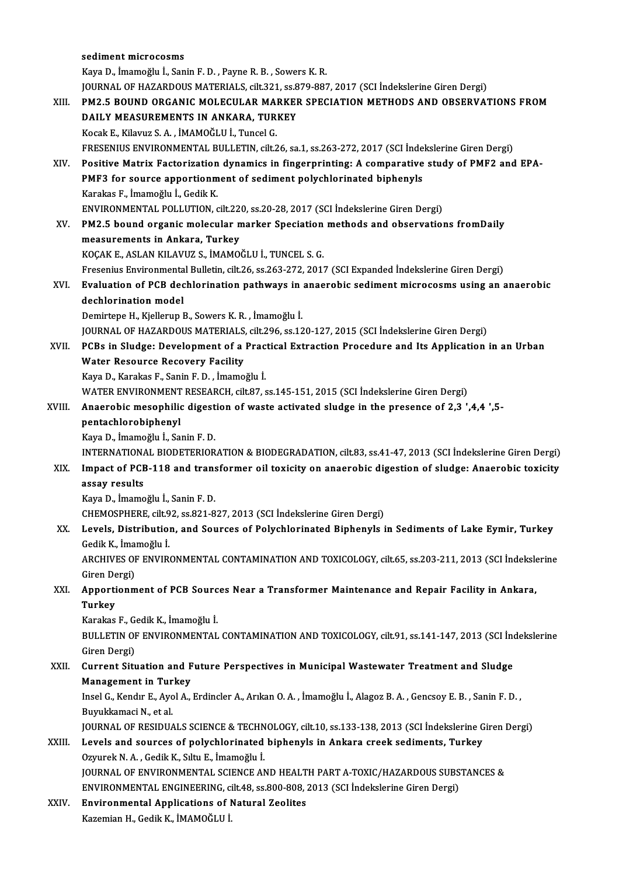|        | sediment microcosms                                                                                              |
|--------|------------------------------------------------------------------------------------------------------------------|
|        | Kaya D., İmamoğlu İ., Sanin F. D., Payne R. B., Sowers K. R.                                                     |
|        | JOURNAL OF HAZARDOUS MATERIALS, cilt.321, ss.879-887, 2017 (SCI Indekslerine Giren Dergi)                        |
| XIII.  | PM2.5 BOUND ORGANIC MOLECULAR MARKER SPECIATION METHODS AND OBSERVATIONS FROM                                    |
|        | DAILY MEASUREMENTS IN ANKARA, TURKEY                                                                             |
|        | Kocak E., Kilavuz S. A., İMAMOĞLU İ., Tuncel G.                                                                  |
|        | FRESENIUS ENVIRONMENTAL BULLETIN, cilt.26, sa.1, ss.263-272, 2017 (SCI İndekslerine Giren Dergi)                 |
| XIV.   | Positive Matrix Factorization dynamics in fingerprinting: A comparative study of PMF2 and EPA-                   |
|        |                                                                                                                  |
|        | PMF3 for source apportionment of sediment polychlorinated biphenyls                                              |
|        | Karakas F., İmamoğlu İ., Gedik K.                                                                                |
|        | ENVIRONMENTAL POLLUTION, cilt.220, ss.20-28, 2017 (SCI İndekslerine Giren Dergi)                                 |
| XV.    | PM2.5 bound organic molecular marker Speciation methods and observations fromDaily                               |
|        | measurements in Ankara, Turkey                                                                                   |
|        | KOÇAK E., ASLAN KILAVUZ S., İMAMOĞLU İ., TUNCEL S. G.                                                            |
|        | Fresenius Environmental Bulletin, cilt.26, ss.263-272, 2017 (SCI Expanded İndekslerine Giren Dergi)              |
| XVI.   | Evaluation of PCB dechlorination pathways in anaerobic sediment microcosms using an anaerobic                    |
|        | dechlorination model                                                                                             |
|        | Demirtepe H., Kjellerup B., Sowers K. R., İmamoğlu İ.                                                            |
|        | JOURNAL OF HAZARDOUS MATERIALS, cilt.296, ss.120-127, 2015 (SCI İndekslerine Giren Dergi)                        |
| XVII.  | PCBs in Sludge: Development of a Practical Extraction Procedure and Its Application in an Urban                  |
|        | <b>Water Resource Recovery Facility</b>                                                                          |
|        | Kaya D., Karakas F., Sanin F. D., İmamoğlu İ.                                                                    |
|        | WATER ENVIRONMENT RESEARCH, cilt.87, ss.145-151, 2015 (SCI Indekslerine Giren Dergi)                             |
| XVIII. | Anaerobic mesophilic digestion of waste activated sludge in the presence of 2,3 ',4,4 ',5-                       |
|        | pentachlorobiphenyl                                                                                              |
|        | Kaya D., İmamoğlu İ., Sanin F. D.                                                                                |
|        | INTERNATIONAL BIODETERIORATION & BIODEGRADATION, cilt.83, ss.41-47, 2013 (SCI Indekslerine Giren Dergi)          |
| XIX.   | Impact of PCB-118 and transformer oil toxicity on anaerobic digestion of sludge: Anaerobic toxicity              |
|        | assay results                                                                                                    |
|        | Kaya D., İmamoğlu İ., Sanin F. D.                                                                                |
|        | CHEMOSPHERE, cilt.92, ss.821-827, 2013 (SCI Indekslerine Giren Dergi)                                            |
| XX.    | Levels, Distribution, and Sources of Polychlorinated Biphenyls in Sediments of Lake Eymir, Turkey                |
|        | Gedik K., İmamoğlu İ.                                                                                            |
|        | ARCHIVES OF ENVIRONMENTAL CONTAMINATION AND TOXICOLOGY, cilt.65, ss.203-211, 2013 (SCI Indekslerine              |
|        | Giren Dergi)                                                                                                     |
| XXI.   | Apportionment of PCB Sources Near a Transformer Maintenance and Repair Facility in Ankara,                       |
|        | Turkey                                                                                                           |
|        | Karakas F., Gedik K., İmamoğlu İ.                                                                                |
|        | BULLETIN OF ENVIRONMENTAL CONTAMINATION AND TOXICOLOGY, cilt.91, ss.141-147, 2013 (SCI Indekslerine              |
|        | Giren Dergi)                                                                                                     |
| XXII.  | Current Situation and Future Perspectives in Municipal Wastewater Treatment and Sludge                           |
|        | <b>Management in Turkey</b>                                                                                      |
|        | Insel G., Kendır E., Ayol A., Erdincler A., Arıkan O. A., İmamoğlu İ., Alagoz B. A., Gencsoy E. B., Sanin F. D., |
|        | Buyukkamaci N., et al.                                                                                           |
|        | JOURNAL OF RESIDUALS SCIENCE & TECHNOLOGY, cilt.10, ss.133-138, 2013 (SCI İndekslerine Giren Dergi)              |
| XXIII. | Levels and sources of polychlorinated biphenyls in Ankara creek sediments, Turkey                                |
|        | Ozyurek N. A., Gedik K., Sıltu E., İmamoğlu İ.                                                                   |
|        | JOURNAL OF ENVIRONMENTAL SCIENCE AND HEALTH PART A-TOXIC/HAZARDOUS SUBSTANCES &                                  |
|        | ENVIRONMENTAL ENGINEERING, cilt.48, ss.800-808, 2013 (SCI İndekslerine Giren Dergi)                              |
| XXIV.  | <b>Environmental Applications of Natural Zeolites</b>                                                            |
|        | Kazemian H., Gedik K., İMAMOĞLU İ.                                                                               |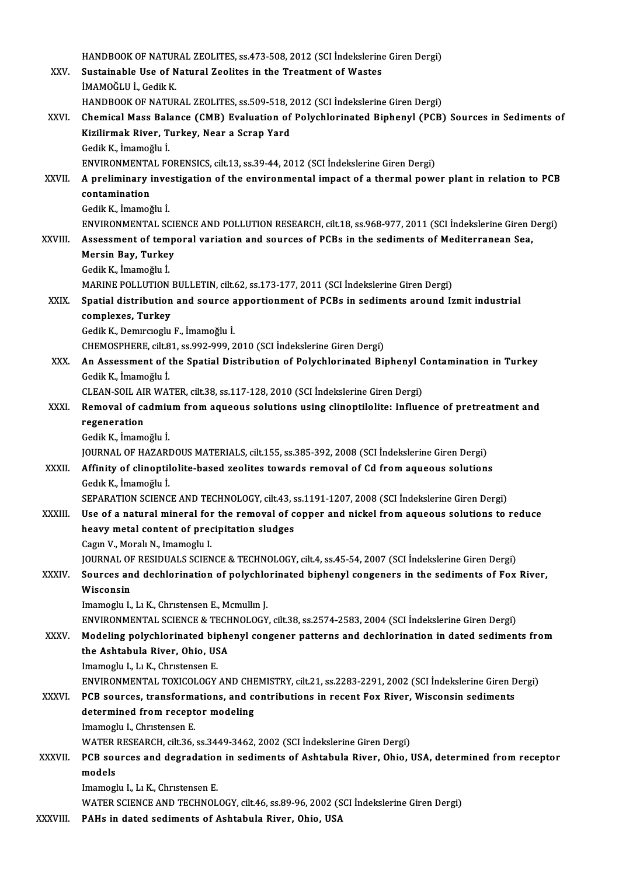|               | HANDBOOK OF NATURAL ZEOLITES, ss.473-508, 2012 (SCI Indekslerine Giren Dergi)                                          |
|---------------|------------------------------------------------------------------------------------------------------------------------|
| XXV.          | Sustainable Use of Natural Zeolites in the Treatment of Wastes                                                         |
|               | İMAMOĞLU İ., Gedik K.                                                                                                  |
|               | HANDBOOK OF NATURAL ZEOLITES, ss.509-518, 2012 (SCI İndekslerine Giren Dergi)                                          |
| XXVI.         | Chemical Mass Balance (CMB) Evaluation of Polychlorinated Biphenyl (PCB) Sources in Sediments of                       |
|               | Kizilirmak River, Turkey, Near a Scrap Yard                                                                            |
|               | Gedik K., İmamoğlu İ.                                                                                                  |
|               | ENVIRONMENTAL FORENSICS, cilt.13, ss.39-44, 2012 (SCI İndekslerine Giren Dergi)                                        |
| XXVII.        | A preliminary investigation of the environmental impact of a thermal power plant in relation to PCB                    |
|               | contamination                                                                                                          |
|               | Gedik K, İmamoğlu İ.                                                                                                   |
| <b>XXVIII</b> | ENVIRONMENTAL SCIENCE AND POLLUTION RESEARCH, cilt.18, ss.968-977, 2011 (SCI İndekslerine Giren Dergi)                 |
|               | Assessment of temporal variation and sources of PCBs in the sediments of Mediterranean Sea,<br>Mersin Bay, Turkey      |
|               | Gedik K, İmamoğlu İ.                                                                                                   |
|               | MARINE POLLUTION BULLETIN, cilt.62, ss.173-177, 2011 (SCI Indekslerine Giren Dergi)                                    |
| XXIX.         | Spatial distribution and source apportionment of PCBs in sediments around Izmit industrial                             |
|               | complexes, Turkey                                                                                                      |
|               | Gedik K., Demircioglu F., İmamoğlu İ.                                                                                  |
|               | CHEMOSPHERE, cilt.81, ss.992-999, 2010 (SCI İndekslerine Giren Dergi)                                                  |
| XXX.          | An Assessment of the Spatial Distribution of Polychlorinated Biphenyl Contamination in Turkey                          |
|               | Gedik K., İmamoğlu İ.                                                                                                  |
|               | CLEAN-SOIL AIR WATER, cilt.38, ss.117-128, 2010 (SCI İndekslerine Giren Dergi)                                         |
| XXXI.         | Removal of cadmium from aqueous solutions using clinoptilolite: Influence of pretreatment and                          |
|               | regeneration                                                                                                           |
|               | Gedik K, İmamoğlu İ                                                                                                    |
|               | JOURNAL OF HAZARDOUS MATERIALS, cilt.155, ss.385-392, 2008 (SCI İndekslerine Giren Dergi)                              |
| XXXII.        | Affinity of clinoptilolite-based zeolites towards removal of Cd from aqueous solutions                                 |
|               | Gedik K., İmamoğlu İ.<br>SEPARATION SCIENCE AND TECHNOLOGY, cilt.43, ss.1191-1207, 2008 (SCI İndekslerine Giren Dergi) |
| XXXIII.       | Use of a natural mineral for the removal of copper and nickel from aqueous solutions to reduce                         |
|               | heavy metal content of precipitation sludges                                                                           |
|               | Cagin V., Morali N., Imamoglu I.                                                                                       |
|               | JOURNAL OF RESIDUALS SCIENCE & TECHNOLOGY, cilt.4, ss.45-54, 2007 (SCI Indekslerine Giren Dergi)                       |
| XXXIV.        | Sources and dechlorination of polychlorinated biphenyl congeners in the sediments of Fox River,                        |
|               | Wisconsin                                                                                                              |
|               | Imamoglu I., Lı K., Christensen E., Mcmullin J.                                                                        |
|               | ENVIRONMENTAL SCIENCE & TECHNOLOGY, cilt.38, ss.2574-2583, 2004 (SCI İndekslerine Giren Dergi)                         |
| <b>XXXV</b>   | Modeling polychlorinated biphenyl congener patterns and dechlorination in dated sediments from                         |
|               | the Ashtabula River, Ohio, USA                                                                                         |
|               | Imamoglu I., Lı K., Christensen E.                                                                                     |
|               | ENVIRONMENTAL TOXICOLOGY AND CHEMISTRY, cilt.21, ss.2283-2291, 2002 (SCI Indekslerine Giren Dergi)                     |
| <b>XXXVI</b>  | PCB sources, transformations, and contributions in recent Fox River, Wisconsin sediments                               |
|               | determined from receptor modeling                                                                                      |
|               | Imamoglu I., Christensen E.                                                                                            |
|               | WATER RESEARCH, cilt.36, ss.3449-3462, 2002 (SCI Indekslerine Giren Dergi)                                             |
| XXXVII.       | PCB sources and degradation in sediments of Ashtabula River, Ohio, USA, determined from receptor<br>models             |
|               | Imamoglu I., Lı K., Christensen E.                                                                                     |
|               | WATER SCIENCE AND TECHNOLOGY, cilt.46, ss.89-96, 2002 (SCI Indekslerine Giren Dergi)                                   |
| XXXVIII.      | PAHs in dated sediments of Ashtabula River, Ohio, USA                                                                  |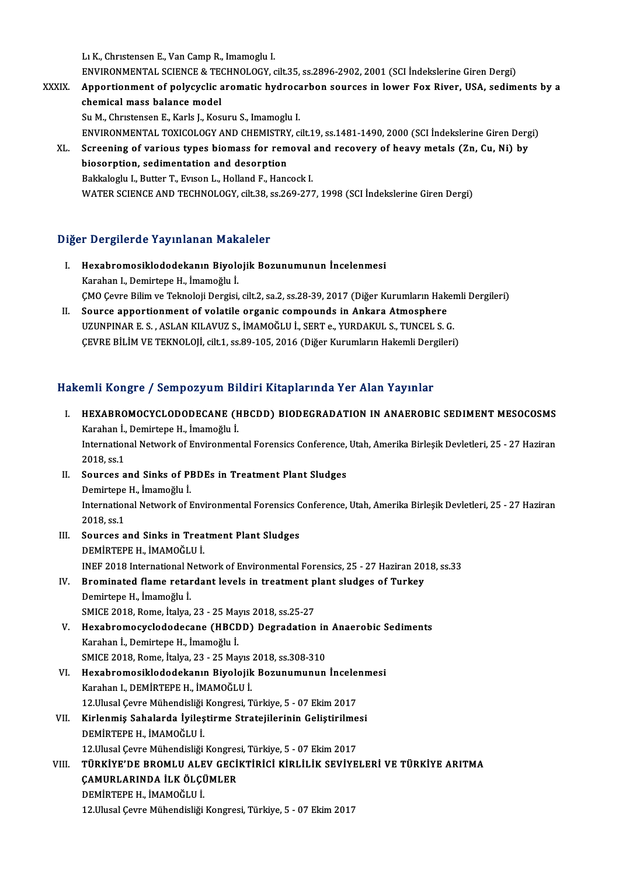LıK.,ChrıstensenE.,VanCampR., Imamoglu I. Lı K., Christensen E., Van Camp R., Imamoglu I.<br>ENVIRONMENTAL SCIENCE & TECHNOLOGY, cilt.35, ss.2896-2902, 2001 (SCI İndekslerine Giren Dergi)<br>Annestienment of neliyayeliş anematis bydneserben seunses in lewer Fey Biyer, U L1 K., Christensen E., Van Camp R., Imamoglu I.<br>ENVIRONMENTAL SCIENCE & TECHNOLOGY, cilt.35, ss.2896-2902, 2001 (SCI İndekslerine Giren Dergi)<br>XXXIX. Apportionment of polycyclic aromatic hydrocarbon sources in lower Fox Ri

- ENVIRONMENTAL SCIENCE & TECTRON<br>Apportionment of polycyclic and<br>chemical mass balance model<br>Su M. Chustensen E. Korla L. Korl Apportionment of polycyclic aromatic hydroca<br>chemical mass balance model<br>Su M., Christensen E., Karls J., Kosuru S., Imamoglu I.<br>ENWIPONMENTAL TOYICOLOCY AND CHEMISTRY chemical mass balance model<br>Su M., Christensen E., Karls J., Kosuru S., Imamoglu I.<br>ENVIRONMENTAL TOXICOLOGY AND CHEMISTRY, cilt.19, ss.1481-1490, 2000 (SCI İndekslerine Giren Dergi) Su M., Christensen E., Karls J., Kosuru S., Imamoglu I.<br>ENVIRONMENTAL TOXICOLOGY AND CHEMISTRY, cilt.19, ss.1481-1490, 2000 (SCI İndekslerine Giren Derg<br>XL. Screening of various types biomass for removal and recovery of he ENVIRONMENTAL TOXICOLOGY AND CHEMISTRY<br>Screening of various types biomass for rem<br>biosorption, sedimentation and desorption<br>Pakkalagh: L. Butter T. Eusen L. Helland E. Hang
	- Screening of various types biomass for removal<br>biosorption, sedimentation and desorption<br>Bakkaloglu I., Butter T., Evıson L., Holland F., Hancock I.<br>WATER SCIENCE AND TECHNOLOCY, silt 29, ss 260, 277 biosorption, sedimentation and desorption<br>Bakkaloglu I., Butter T., Evison L., Holland F., Hancock I.<br>WATER SCIENCE AND TECHNOLOGY, cilt.38, ss.269-277, 1998 (SCI İndekslerine Giren Dergi)

# Diğer Dergilerde Yayınlanan Makaleler

- iğer Dergilerde Yayınlanan Makaleler<br>I. Hexabromosiklododekanın Biyolojik Bozunumunun İncelenmesi<br>Karaban I. Demirtana H. İmamağlu İ r Dergirer de Tuy infunun Fran<br>Hexabromosiklododekanın Biyolo<br>Karahan I., Demirtepe H., İmamoğlu İ.<br>CMO Ceure Bilim ve Telmeleji Dergisi Hexabromosiklododekanın Biyolojik Bozunumunun İncelenmesi<br>Karahan I., Demirtepe H., İmamoğlu İ.<br>ÇMO Çevre Bilim ve Teknoloji Dergisi, cilt.2, sa.2, ss.28-39, 2017 (Diğer Kurumların Hakemli Dergileri)<br>Sevree annestionment o Karahan I., Demirtepe H., İmamoğlu İ.<br>ÇMO Çevre Bilim ve Teknoloji Dergisi, cilt.2, sa.2, ss.28-39, 2017 (Diğer Kurumların Hakara)<br>II. Source apportionment of volatile organic compounds in Ankara Atmosphere<br>II. IZINPINAR E
- ÇMO Çevre Bilim ve Teknoloji Dergisi, cilt.2, sa.2, ss.28-39, 2017 (Diğer Kurumların Haker<br>Source apportionment of volatile organic compounds in Ankara Atmosphere<br>UZUNPINAR E. S. , ASLAN KILAVUZ S., İMAMOĞLU İ., SERT e., Y Source apportionment of volatile organic compounds in Ankara Atmosphere<br>UZUNPINAR E. S. , ASLAN KILAVUZ S., İMAMOĞLU İ., SERT e., YURDAKUL S., TUNCEL S. G.<br>ÇEVRE BİLİM VE TEKNOLOJİ, cilt.1, ss.89-105, 2016 (Diğer Kurumları ÇEVRE BİLİM VE TEKNOLOJİ, cilt.1, ss.89-105, 2016 (Diğer Kurumların Hakemli Dergileri)<br>Hakemli Kongre / Sempozyum Bildiri Kitaplarında Yer Alan Yayınlar

akemli Kongre / Sempozyum Bildiri Kitaplarında Yer Alan Yayınlar<br>I. HEXABROMOCYCLODODECANE (HBCDD) BIODEGRADATION IN ANAEROBIC SEDIMENT MESOCOSMS<br>Karaban İ. Demirtana H. İmamoğlu İ XIIII KORETCI Y SORIPOZYANI DI.<br>HEXABROMOCYCLODODECANE (F<br>Karahan İ., Demirtepe H., İmamoğlu İ. HEXABROMOCYCLODODECANE (HBCDD) BIODEGRADATION IN ANAEROBIC SEDIMENT MESOCOSMS<br>Karahan İ., Demirtepe H., İmamoğlu İ.<br>International Network of Environmental Forensics Conference, Utah, Amerika Birleşik Devletleri, 25 - 27 Ha Karahan İ., Demirtepe H., İmamoğlu İ.<br>International Network of Environmental Forensics Conference, Utah, Amerika Birleşik Devletleri, 25 - 27 Haziran<br>2018. ss.1 International Network of Environmental Forensics Conference,<br>2018, ss.1<br>II. Sources and Sinks of PBDEs in Treatment Plant Sludges<br>Demirtane H. İmamoğlu İ 2018, ss.1<br>Sources and Sinks of Pl<br>Demirtepe H., İmamoğlu İ.<br>International Naturalı of I Sources and Sinks of PBDEs in Treatment Plant Sludges<br>Demirtepe H., İmamoğlu İ.<br>International Network of Environmental Forensics Conference, Utah, Amerika Birleşik Devletleri, 25 - 27 Haziran Demirtepe<br>Internation<br>2018, ss.1 International Network of Environmental Forensics C<br>2018, ss.1<br>III. Sources and Sinks in Treatment Plant Sludges 2018, ss.1<br>Sources and Sinks in Trea<br>DEMİRTEPE H., İMAMOĞLU İ.<br>INEE 2018 International Natu DEMİRTEPE H., İMAMOĞLU İ.<br>INEF 2018 International Network of Environmental Forensics, 25 - 27 Haziran 2018, ss.33 DEMİRTEPE H., İMAMOĞLU İ.<br>INEF 2018 International Network of Environmental Forensics, 25 - 27 Haziran 20:<br>IV. Brominated flame retardant levels in treatment plant sludges of Turkey<br>Demirtane H. İmamoğlu İ INEF 2018 International N<br>Brominated flame retar<br>Demirtepe H., İmamoğlu İ.<br>SMICE 2018 Boma İtalya Brominated flame retardant levels in treatment p<br>Demirtepe H., İmamoğlu İ.<br>SMICE 2018, Rome, İtalya, 23 - 25 Mayıs 2018, ss.25-27<br>Havahramogyaladadeaana (HBCDD), Degradation Demirtepe H., İmamoğlu İ.<br>SMICE 2018, Rome, İtalya, 23 - 25 Mayıs 2018, ss.25-27<br>V. Hexabromocyclododecane (HBCDD) Degradation in Anaerobic Sediments Karahanİ.,DemirtepeH., İmamoğlu İ. Hexabromocyclododecane (HBCDD) Degradation in<br>Karahan İ., Demirtepe H., İmamoğlu İ.<br>SMICE 2018, Rome, İtalya, 23 - 25 Mayıs 2018, ss.308-310<br>Hexabromosiklededekanın Biyolojik Begynyumunun Karahan İ., Demirtepe H., İmamoğlu İ.<br>SMICE 2018, Rome, İtalya, 23 - 25 Mayıs 2018, ss.308-310<br>VI. - Hexabromosiklododekanın Biyolojik Bozunumunun İncelenmesi<br>- Karaban I. DEMİRTERE H. İMAMOČLU İ. SMICE 2018, Rome, İtalya, 23 - 25 Mayıs<br>Hexabromosiklododekanın Biyolojik<br>Karahan I., DEMİRTEPE H., İMAMOĞLU İ.<br>12 Hlusal Geure Mühendisliği Kongresi, T Hexabromosiklododekanın Biyolojik Bozunumunun İncele:<br>Karahan I., DEMİRTEPE H., İMAMOĞLU İ.<br>12.Ulusal Çevre Mühendisliği Kongresi, Türkiye, 5 - 07 Ekim 2017<br>Kirlanmis Sabalarda İyilastirma Stratajilarinin Galistinilma Karahan I., DEMİRTEPE H., İMAMOĞLU İ.<br>12.Ulusal Çevre Mühendisliği Kongresi, Türkiye, 5 - 07 Ekim 2017<br>VII. Kirlenmiş Sahalarda İyileştirme Stratejilerinin Geliştirilmesi<br>DEMİRTEPE H., İMAMOĞLU İ. 12. Ulusal Çevre Mühendisliği Kongresi, Türkiye, 5 - 07 Ekim 2017 12. Ulusal Çevre Mühendisliği Kongresi, Türkiye, 5 - 07 Ekim 2017 DEMİRTEPE H., İMAMOĞLU İ.<br>12.Ulusal Çevre Mühendisliği Kongresi, Türkiye, 5 - 07 Ekim 2017<br>VIII. TÜRKİYE'DE BROMLU ALEV GECİKTİRİCİ KİRLİLİK SEVİYELERİ VE TÜRKİYE ARITMA<br>CAMIPLARINDA İLK ÖLCÜMLER 12.Ulusal Çevre Mühendisliği Kongres<br>TÜRKİYE'DE BROMLU ALEV GECİ<br>ÇAMURLARINDA İLK ÖLÇÜMLER<br>DEMİPTERE H. İMAMOČLU İ TÜRKİYE'DE BROMLU ALE<br>ÇAMURLARINDA İLK ÖLÇİ<br>DEMİRTEPE H., İMAMOĞLU İ.<br>12 Ulusal Caura Mühandisliği 12.URLARINDA İLK ÖLÇÜMLER<br>12.Ulusal Çevre Mühendisliği Kongresi, Türkiye, 5 - 07 Ekim 2017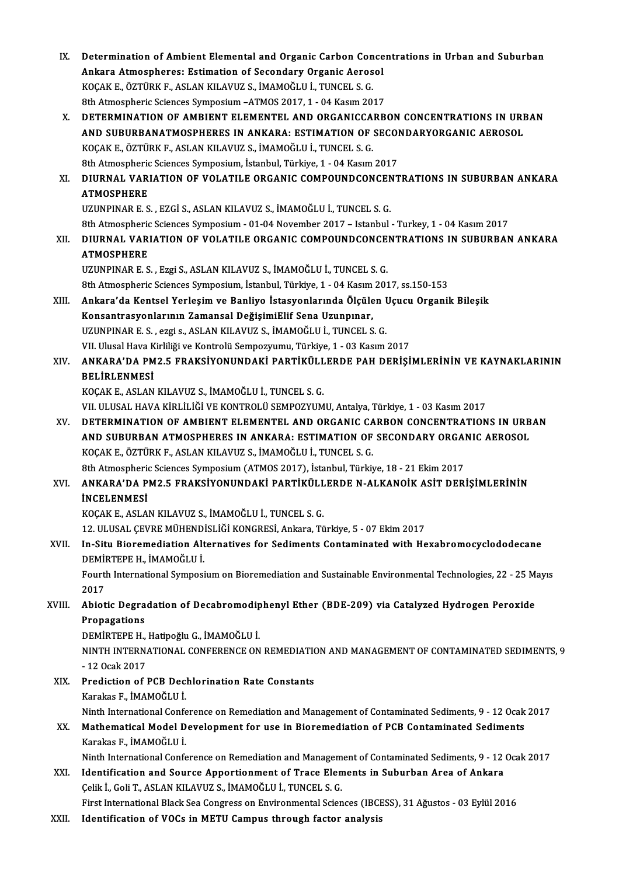IX. Determination of Ambient Elemental and Organic Carbon Concentrations in Urban and Suburban Determination of Ambient Elemental and Organic Carbon Conce<br>Ankara Atmospheres: Estimation of Secondary Organic Aerosol<br>YOCAKE, ÖZTÜDKE, ASLAN KU AVUZ S. İMAMOČLU İ. TUNCEL S.C. Determination of Ambient Elemental and Organic Carbon Con<br>Ankara Atmospheres: Estimation of Secondary Organic Aeros<br>KOÇAK E., ÖZTÜRK F., ASLAN KILAVUZ S., İMAMOĞLU İ., TUNCEL S. G.<br><sup>9th Atmospheris Sciences Sumnosium ATMOS</sup> Ankara Atmospheres: Estimation of Secondary Organic Aerosol<br>KOÇAK E., ÖZTÜRK F., ASLAN KILAVUZ S., İMAMOĞLU İ., TUNCEL S. G.<br>8th Atmospheric Sciences Symposium –ATMOS 2017. 1 - 04 Kasım 2017 X. DETERMINATION OF AMBIENT ELEMENTEL AND ORGANICCARBON CONCENTRATIONS IN URBAN AND SUBURBANATMOSPHERES IN ANKARA: ESTIMATION OF SECONDARYORGANIC AEROSOL DETERMINATION OF AMBIENT ELEMENTEL AND ORGANICCA<br>AND SUBURBANATMOSPHERES IN ANKARA: ESTIMATION OF<br>KOÇAK E., ÖZTÜRK F., ASLAN KILAVUZ S., İMAMOĞLU İ., TUNCEL S. G.<br><sup>9th Atmospheris Sciences Sumnosium İstanbul Türkiye 1 - 04</sup> AND SUBURBANATMOSPHERES IN ANKARA: ESTIMATION OF SECOI<br>KOÇAK E., ÖZTÜRK F., ASLAN KILAVUZ S., İMAMOĞLU İ., TUNCEL S. G.<br>8th Atmospheric Sciences Symposium, İstanbul, Türkiye, 1 - 04 Kasım 2017<br>DIUPNAL VARIATION OF VOLATU E XI. DIURNAL VARIATION OF VOLATILE ORGANIC COMPOUNDCONCENTRATIONS IN SUBURBAN ANKARA 8th Atmospheric Sciences Symposium, İstanbul, Türkiye, 1 - 04 Kasım 2017 UZUNPINARE.S. ,EZGİ S.,ASLANKILAVUZ S., İMAMOĞLUİ.,TUNCEL S.G. ATMOSPHERE<br>UZUNPINAR E. S. , EZGİ S., ASLAN KILAVUZ S., İMAMOĞLU İ., TUNCEL S. G.<br>8th Atmospheric Sciences Symposium - 01-04 November 2017 – Istanbul - Turkey, 1 - 04 Kasım 2017<br>DIUPNAL VARLATION OF VOLATU E ORGANIC COMPOU XII. DIURNAL VARIATION OF VOLATILE ORGANIC COMPOUNDCONCENTRATIONS IN SUBURBAN ANKARA<br>ATMOSPHERE 8th Atmospheri<mark>c</mark><br>DIURNAL VARI<br>ATMOSPHERE<br>UZUNPIMAR E.S UZUNPINARE.S. ,EzgiS.,ASLANKILAVUZ S., İMAMOĞLUİ.,TUNCEL S.G. ATMOSPHERE<br>UZUNPINAR E. S. , Ezgi S., ASLAN KILAVUZ S., İMAMOĞLU İ., TUNCEL S. G.<br>8th Atmospheric Sciences Symposium, İstanbul, Türkiye, 1 - 04 Kasım 2017, ss.150-153<br>Ankana'da Kantsal Yonlasım ve Banliya İstanyanlarında Ö XIII. Ankara'da Kentsel Yerleşim ve Banliyo İstasyonlarında Ölçülen Uçucu Organik Bileşik<br>Konsantrasyonlarının Zamansal DeğisimiElif Sena Uzunpınar, 8th Atmospheric Sciences Symposium, İstanbul, Türkiye, 1 - 04 Kasım<br>Ankara'da Kentsel Yerleşim ve Banliyo İstasyonlarında Ölçüle<br>Konsantrasyonlarının Zamansal DeğişimiElif Sena Uzunpınar,<br>UZUNPINAR E.S., ergi 9, ASLAN KU A UZUNPINARE.S. ,ezgi s.,ASLANKILAVUZ S., İMAMOĞLUİ.,TUNCEL S.G. Konsantrasyonlarının Zamansal DeğişimiElif Sena Uzunpınar,<br>UZUNPINAR E. S. , ezgi s., ASLAN KILAVUZ S., İMAMOĞLU İ., TUNCEL S. G.<br>VII. Ulusal Hava Kirliliği ve Kontrolü Sempozyumu, Türkiye, 1 - 03 Kasım 2017<br>ANKARA'DA PM2 XIV. ANKARA'DA PM2.5 FRAKSİYONUNDAKİ PARTİKÜLLERDE PAH DERİŞİMLERİNİN VE KAYNAKLARININ VII. Ulusal Hava K<br><mark>ANKARA'DA PM</mark><br>BELİRLENMESİ<br>*VOCAV* E. ASLAN KOÇAKE.,ASLANKILAVUZ S., İMAMOĞLUİ.,TUNCEL S.G. BELİRLENMESİ<br>KOÇAK E., ASLAN KILAVUZ S., İMAMOĞLU İ., TUNCEL S. G.<br>VII. ULUSAL HAVA KİRLİLİĞİ VE KONTROLÜ SEMPOZYUMU, Antalya, Türkiye, 1 - 03 Kasım 2017<br>DETERMINATION OF AMBIENT ELEMENTEL AND ORCANIC CARRON CONCENTRATION XV. DETERMINATION OF AMBIENT ELEMENTEL AND ORGANIC CARBON CONCENTRATIONS IN URBAN VII. ULUSAL HAVA KİRLİLİĞİ VE KONTROLÜ SEMPOZYUMU, Antalya, Türkiye, 1 - 03 Kasım 2017<br>DETERMINATION OF AMBIENT ELEMENTEL AND ORGANIC CARBON CONCENTRATIONS IN URB<br>AND SUBURBAN ATMOSPHERES IN ANKARA: ESTIMATION OF SECONDARY XV. DETERMINATION OF AMBIENT ELEMENTEL AND ORGANIC CARBON CONCENTRATIONS IN URBAN<br>AND SUBURBAN ATMOSPHERES IN ANKARA: ESTIMATION OF SECONDARY ORGANIC AEROSOL<br>KOÇAK E., ÖZTÜRK F., ASLAN KILAVUZ S., İMAMOĞLU İ., TUNCEL S. G. AND SUBURBAN ATMOSPHERES IN ANKARA: ESTIMATION OF SECONDARY ORGANIC AEROSOL KOÇAK E., ÖZTÜRK F., ASLAN KILAVUZ S., İMAMOĞLU İ., TUNCEL S. G.<br>8th Atmospheric Sciences Symposium (ATMOS 2017), İstanbul, Türkiye, 18 - 21 Ekim 2017<br>XVI. ANKARA'DA PM2.5 FRAKSİYONUNDAKİ PARTİKÜLLERDE N-ALKANOİK ASİT **8th Atmospheric<br>ANKARA'DA P<br>İNCELENMESİ**<br>KOCAK ELASLA ANKARA'DA PM2.5 FRAKSİYONUNDAKİ PARTİKÜLL<br>İNCELENMESİ<br>KOÇAK E., ASLAN KILAVUZ S., İMAMOĞLU İ., TUNCEL S. G.<br>12. III USAL CEVPE MÜHENDİSI İĞI KONCPESİ, Arkara, Tü İNCELENMESİ<br>KOÇAK E., ASLAN KILAVUZ S., İMAMOĞLU İ., TUNCEL S. G.<br>12. ULUSAL ÇEVRE MÜHENDİSLİĞİ KONGRESİ, Ankara, Türkiye, 5 - 07 Ekim 2017<br>In Situ Bionomodiation Altannatiyes fon Sodimanta Contaminated with Ho KOÇAK E., ASLAN KILAVUZ S., İMAMOĞLU İ., TUNCEL S. G.<br>12. ULUSAL ÇEVRE MÜHENDİSLİĞİ KONGRESİ, Ankara, Türkiye, 5 - 07 Ekim 2017<br>XVII. In-Situ Bioremediation Alternatives for Sediments Contaminated with Hexabromocyclodo 12. ULUSAL ÇEVRE MÜHEND<br>In-Situ Bioremediation Alt<br>DEMİRTEPE H., İMAMOĞLU İ.<br>Fourth International Sumnesi In-Situ Bioremediation Alternatives for Sediments Contaminated with Hexabromocyclododecane<br>DEMİRTEPE H., İMAMOĞLU İ.<br>Fourth International Symposium on Bioremediation and Sustainable Environmental Technologies, 22 - 25 Mayı DEMI<br>Fourt<br>2017<br>Abiet Fourth International Symposium on Bioremediation and Sustainable Environmental Technologies, 22 - 25 M.<br>2017<br>Bronagations<br>Propogations 2017<br>Abiotic Degra<br>Propagations<br>DEMIPTEDE H Abiotic Degradation of Decabromodip<br>Propagations<br>DEMİRTEPE H., Hatipoğlu G., İMAMOĞLU İ.<br>NINTH INTERNATIONAL CONEERENCE ON Propagations<br>DEMİRTEPE H., Hatipoğlu G., İMAMOĞLU İ.<br>NINTH INTERNATIONAL CONFERENCE ON REMEDIATION AND MANAGEMENT OF CONTAMINATED SEDIMENTS, 9<br>- 12 Ocak 2017 DEMİRTEPE H., Hatipoğlu G., İMAMOĞLU İ. XIX. Prediction of PCB Dechlorination Rate Constants Karakas F., İMAMOĞLUİ. Ninth International Conference on Remediation and Management of Contaminated Sediments, 9 - 12 Ocak 2017 Karakas F., İMAMOĞLU İ.<br>Ninth International Conference on Remediation and Management of Contaminated Sediments, 9 - 12 Ocak<br>XX. Mathematical Model Development for use in Bioremediation of PCB Contaminated Sediments<br>Kar Ninth International Confe<br>Mathematical Model D<br>Karakas F., İMAMOĞLU İ.<br><sup>Ninth</sup> International Confe Karakas F., İMAMOĞLU İ.<br>Ninth International Conference on Remediation and Management of Contaminated Sediments, 9 - 12 Ocak 2017 Karakas F., İMAMOĞLU İ.<br>12 Ninth International Conference on Remediation and Management of Contaminated Sediments, 9 - 12<br>2 XXI. Identification and Source Apportionment of Trace Elements in Suburban Area of Ankara<br>2 Gi Ninth International Conference on Remediation and Managem<br>Identification and Source Apportionment of Trace Elen<br>Çelik İ., Goli T., ASLAN KILAVUZ S., İMAMOĞLU İ., TUNCEL S. G.<br>First International Plask See Congress on Envir Çelik İ., Goli T., ASLAN KILAVUZ S., İMAMOĞLU İ., TUNCEL S. G.<br>First International Black Sea Congress on Environmental Sciences (IBCESS), 31 Ağustos - 03 Eylül 2016 XXII. Identification of VOCs in METU Campus through factor analysis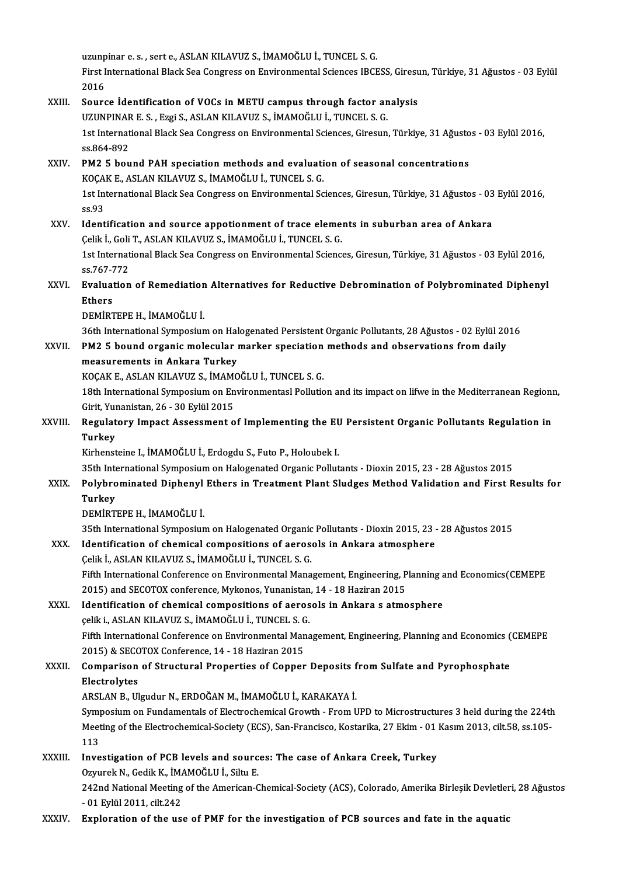uzunpinar e. s. , sert e., ASLAN KILAVUZ S., İMAMOĞLU İ., TUNCEL S. G.<br>First International Black See Congress en Envirenmental Scienses IPCE First International Black Sea Congress on Environmental Sciences IBCESS, Giresun, Türkiye, 31 Ağustos - 03 Eylül<br>2016 uzunp<br>First I<br>2016<br>Soure First International Black Sea Congress on Environmental Sciences IBCESS, Giresu<br>2016<br>XXIII. Source Identification of VOCs in METU campus through factor analysis<br>IIZUNDINAR E.S. ERGIS ASLAN KUAVUZS, IMAMOČLU I. TUNCEL S.G. 2016<br>Source İdentification of VOCs in METU campus through factor an<br>UZUNPINAR E. S. , Ezgi S., ASLAN KILAVUZ S., İMAMOĞLU İ., TUNCEL S. G.<br>1st International Black See Congress en Environmental Sciences *Cines*un Source İdentification of VOCs in METU campus through factor analysis<br>UZUNPINAR E. S. , Ezgi S., ASLAN KILAVUZ S., İMAMOĞLU İ., TUNCEL S. G.<br>1st International Black Sea Congress on Environmental Sciences, Giresun, Türkiye, UZUNPINAR E. S. , Ezgi S., ASLAN KILAVUZ S., İMAMOĞLU İ., TUNCEL S. G.<br>1st International Black Sea Congress on Environmental Sciences, Giresun, Türkiye, 31 Ağusto<br>5s.864-892<br>PM2 5 bound PAH speciation methods and evaluatio 1st International Black Sea Congress on Environmental Sciences, Giresun, Türkiye, 31 Ağusto<br>ss.864-892<br>XXIV. PM2 5 bound PAH speciation methods and evaluation of seasonal concentrations<br> $XOCAYE-ASI ANVII AMIZS. IMAMOCHIITINCFI S.C.$ ss.864-892<br>PM2 5 bound PAH speciation methods and evaluati<br>KOÇAK E., ASLAN KILAVUZ S., İMAMOĞLU İ., TUNCEL S. G.<br>1st International Black See Congress en Environmental Se 1st International Black Sea Congress on Environmental Sciences, Giresun, Türkiye, 31 Ağustos - 03 Eylül 2016,<br>ss.93 KOÇA<br>1st In<br>ss.93<br>Ident 1st International Black Sea Congress on Environmental Sciences, Giresun, Türkiye, 31 Ağustos - 03<br>ss.93<br>XXV. Identification and source appotionment of trace elements in suburban area of Ankara<br>Celik I. Celi T. ASLAN KILAVI ss.93<br>Identification and source appotionment of trace eleme:<br>Çelik İ., Goli T., ASLAN KILAVUZ S., İMAMOĞLU İ., TUNCEL S. G.<br>1st International Plask See Congress en Envirenmental Scienc 1dentification and source appotionment of trace elements in suburban area of Ankara<br>Çelik İ., Goli T., ASLAN KILAVUZ S., İMAMOĞLU İ., TUNCEL S. G.<br>1st International Black Sea Congress on Environmental Sciences, Giresun, Tü Celik İ., Goli<br>1st Internat<br>ss.767-772<br>Eveluation 1st International Black Sea Congress on Environmental Sciences, Giresun, Türkiye, 31 Ağustos - 03 Eylül 2016,<br>ss.767-772<br>XXVI. Evaluation of Remediation Alternatives for Reductive Debromination of Polybrominated Diphenyl SS.767-7<br>Evaluat<br>Ethers Evaluation of Remediation<br>Ethers<br>DEMİRTEPE H., İMAMOĞLU İ.<br>26th International Sumnesiun Bthers<br>DEMİRTEPE H., İMAMOĞLU İ.<br>36th International Symposium on Halogenated Persistent Organic Pollutants, 28 Ağustos - 02 Eylül 2016 DEMIRTEPE H., İMAMOĞLU İ.<br>36th International Symposium on Halogenated Persistent Organic Pollutants, 28 Ağustos - 02 Eylül 20<br>XXVII. PM2 5 bound organic molecular marker speciation methods and observations from daily<br>measu 36th International Symposium on Hal<br>PM2 5 bound organic molecular<br>measurements in Ankara Turkey<br>YOCAKE ASLAN KUAVUZ S. WAMO PM2 5 bound organic molecular marker speciation<br>measurements in Ankara Turkey<br>KOÇAK E., ASLAN KILAVUZ S., İMAMOĞLU İ., TUNCEL S. G.<br>19th International Sumnosium en Envirenmentasl Bellutie measurements in Ankara Turkey<br>KOÇAK E., ASLAN KILAVUZ S., İMAMOĞLU İ., TUNCEL S. G.<br>18th International Symposium on Environmentasl Pollution and its impact on lifwe in the Mediterranean Regionn,<br>Sirit Yunanistan, 26, 20 Er KOÇAK E., ASLAN KILAVUZ S., İMAM<br>18th International Symposium on En<br>Girit, Yunanistan, 26 - 30 Eylül 2015<br>Begulateru Imnast Assessment e 18th International Symposium on Environmentasl Pollution and its impact on lifwe in the Mediterranean Regioni<br>Girit, Yunanistan, 26 - 30 Eylül 2015<br>XXVIII. Regulatory Impact Assessment of Implementing the EU Persistent Org Girit, Yunanistan, 26 - 30 Eylül 2015<br>Regulatory Impact Assessment of Implementing the EU<br>Turkey<br>Kirhensteine I., İMAMOĞLU İ., Erdogdu S., Futo P., Holoubek I. Regulatory Impact Assessment of Implementing the EU Persistent Organic Pollutants Regulation in 35th International Symposium on Halogenated Organic Pollutants - Dioxin 2015, 23 - 28 Ağustos 2015 Kirhensteine I., İMAMOĞLU İ., Erdogdu S., Futo P., Holoubek I.<br>35th International Symposium on Halogenated Organic Pollutants - Dioxin 2015, 23 - 28 Ağustos 2015<br>XXIX. Polybrominated Diphenyl Ethers in Treatment Plant **35th Inte<br>Polybro<br>Turkey**<br>DEMIPT Polybrominated Diphenyl<br>Turkey<br>DEMİRTEPE H., İMAMOĞLU İ.<br><sup>25th International Sumnosiun</sup> Turkey<br>DEMİRTEPE H., İMAMOĞLU İ.<br>35th International Symposium on Halogenated Organic Pollutants - Dioxin 2015, 23 - 28 Ağustos 2015 DEMIRTEPE H., İMAMOĞLU İ.<br>35th International Symposium on Halogenated Organic Pollutants - Dioxin 2015, 23 -<br>XXX. Identification of chemical compositions of aerosols in Ankara atmosphere<br>Colik LASLAN EU AVUZ S. İMAMOĞLU İ. 35th International Symposium on Halogenated Organic<br>Identification of chemical compositions of aeros<br>Çelik İ., ASLAN KILAVUZ S., İMAMOĞLU İ., TUNCEL S. G.<br>Fifth International Conference on Environmental Mane Identification of chemical compositions of aerosols in Ankara atmosphere<br>Çelik İ., ASLAN KILAVUZ S., İMAMOĞLU İ., TUNCEL S. G.<br>Fifth International Conference on Environmental Management, Engineering, Planning and Economics Celik İ., ASLAN KILAVUZ S., İMAMOĞLU İ., TUNCEL S. G.<br>Fifth International Conference on Environmental Management, Engineering, P<br>2015) and SECOTOX conference, Mykonos, Yunanistan, 14 - 18 Haziran 2015<br>Identification of che Fifth International Conference on Environmental Management, Engineering, Planning a<br>2015) and SECOTOX conference, Mykonos, Yunanistan, 14 - 18 Haziran 2015<br>XXXI. Identification of chemical compositions of aerosols in Ankar 2015) and SECOTOX conference, Mykonos, Yunanistan<br>Identification of chemical compositions of aeros<br>çelik i., ASLAN KILAVUZ S., İMAMOĞLU İ., TUNCEL S. G.<br>Fifth International Conference en Environmental Mana Identification of chemical compositions of aerosols in Ankara s atmosphere<br>
celik i., ASLAN KILAVUZ S., İMAMOĞLU İ., TUNCEL S. G.<br>
Fifth International Conference on Environmental Management, Engineering, Planning and Econo celik i., ASLAN KILAVUZ S., İMAMOĞLU İ., TUNCEL S. G<br>Fifth International Conference on Environmental Man<br>2015) & SECOTOX Conference, 14 - 18 Haziran 2015<br>Comparison of Structural Proportios of Conpor Fifth International Conference on Environmental Management, Engineering, Planning and Economics (<br>2015) & SECOTOX Conference, 14 - 18 Haziran 2015<br>XXXII. Comparison of Structural Properties of Copper Deposits from Sulfate 2015) & SECC<br>Comparison<br>Electrolytes<br>APSLAN P. Ul Comparison of Structural Properties of Copper Deposits f<br>Electrolytes<br>ARSLAN B., Ulgudur N., ERDOĞAN M., İMAMOĞLU İ., KARAKAYA İ.<br>Sumnasium an Eundamentals of Electrochemical Crouth - Erom L <mark>Electrolytes</mark><br>ARSLAN B., Ulgudur N., ERDOĞAN M., İMAMOĞLU İ., KARAKAYA İ.<br>Symposium on Fundamentals of Electrochemical Growth - From UPD to Microstructures 3 held during the 224th<br>Meeting of the Electrochemical Society (E ARSLAN B., Ulgudur N., ERDOĞAN M., İMAMOĞLU İ., KARAKAYA İ.<br>Symposium on Fundamentals of Electrochemical Growth - From UPD to Microstructures 3 held during the 224th<br>Meeting of the Electrochemical-Society (ECS), San-Franci Sym<br>Meet<br>113<br>Inve Meeting of the Electrochemical-Society (ECS), San-Francisco, Kostarika, 27 Ekim - 01<br>113<br>XXXIII. Investigation of PCB levels and sources: The case of Ankara Creek, Turkey<br>Qraynel: N. Codil: K. MAMOČLU L. Siln, E 113<br>Investigation of PCB levels and sourc<br>Ozyurek N., Gedik K., İMAMOĞLU İ., Siltu E.<br>242nd National Mesting of the American C 0zyurek N., Gedik K., İMAMOĞLU İ., Siltu E.<br>242nd National Meeting of the American-Chemical-Society (ACS), Colorado, Amerika Birleşik Devletleri, 28 Ağustos -01Eylül2011, cilt.242

XXXIV. Exploration of the use of PMF for the investigation of PCB sources and fate in the aquatic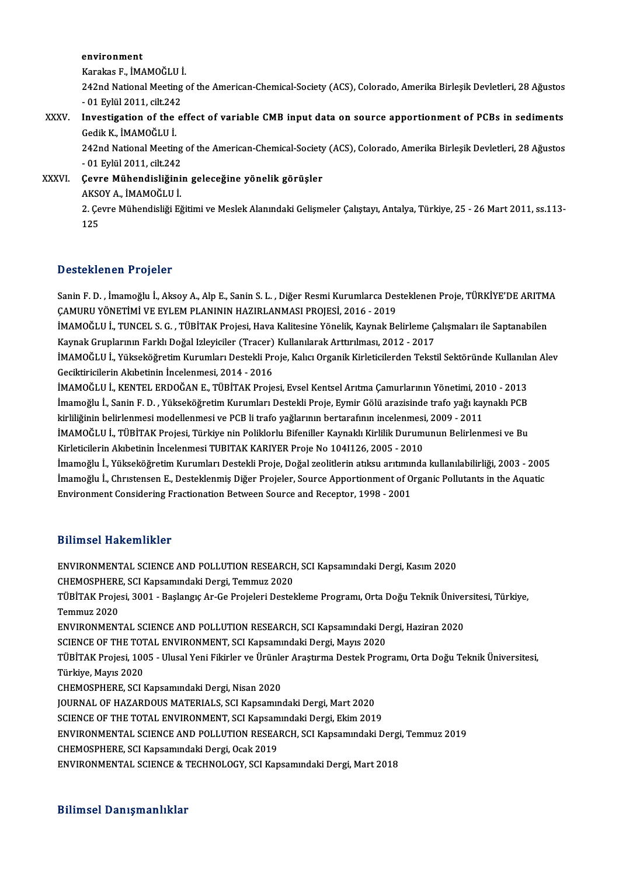environment

e<mark>nvironment</mark><br>Karakas F., İMAMOĞLU İ.<br>242nd National Mesting

242nd National Meeting of the American-Chemical-Society (ACS), Colorado, Amerika Birleşik Devletleri, 28 Ağustos<br>- 01 Evlül 2011. cilt.242 Karakas F., İMAMOĞLU İ<br>242nd National Meeting<br>- 01 Eylül 2011, cilt.242<br>Investisation of the e 242nd National Meeting of the American-Chemical-Society (ACS), Colorado, Amerika Birleşik Devletleri, 28 Ağustos<br>- 01 Eylül 2011, cilt.242<br>XXXV. Investigation of the effect of variable CMB input data on source apportionmen

- 01 Eylül 2011, cilt.242<br>Investigation of the<br>Gedik K., İMAMOĞLU İ.<br>242nd National Mostin Investigation of the effect of variable CMB input data on source apportionment of PCBs in sediments<br>Gedik K., İMAMOĞLU İ.<br>242nd National Meeting of the American-Chemical-Society (ACS), Colorado, Amerika Birleşik Devletleri

Gedik K., İMAMOĞLU İ.<br>242nd National Meeting<br>- 01 Eylül 2011, cilt.242<br>Ceure Mühendisliğini 242nd National Meeting of the American-Chemical-Society<br>- 01 Eylül 2011, cilt.242<br>XXXVI. Cevre Mühendisliğinin geleceğine yönelik görüşler

- 01 Eylül 2011, cilt.242<br>Çevre Mühendisliğini<br>AKSOY A., İMAMOĞLU İ.<br>2. Cevre Mühendisliği E? AKSOY A, İMAMOĞLU İ.

2. Çevre Mühendisliği Eğitimi ve Meslek Alanındaki Gelişmeler Çalıştayı, Antalya, Türkiye, 25 - 26 Mart 2011, ss.113-<br>125

# Desteklenen Projeler

Desteklenen Projeler<br>Sanin F. D. , İmamoğlu İ., Aksoy A., Alp E., Sanin S. L. , Diğer Resmi Kurumlarca Desteklenen Proje, TÜRKİYE'DE ARITMA<br>CAMURU YÖNETİMİ VE EVLEM BLANININ HAZIRLANMASI PROJESİ 2016, 2019 Z CSCENNENEN Y YOJECI<br>Sanin F. D. , İmamoğlu İ., Aksoy A., Alp E., Sanin S. L. , Diğer Resmi Kurumlarca Des<br>ÇAMURU YÖNETİMİ VE EYLEM PLANININ HAZIRLANMASI PROJESİ, 2016 - 2019<br>İMAMOĞLU İ. TUNCEL S. G., TÜRİTAK Projesi, Hav Sanin F. D. , İmamoğlu İ., Aksoy A., Alp E., Sanin S. L. , Diğer Resmi Kurumlarca Desteklenen Proje, TÜRKİYE'DE ARITM<br>ÇAMURU YÖNETİMİ VE EYLEM PLANININ HAZIRLANMASI PROJESİ, 2016 - 2019<br>İMAMOĞLU İ., TUNCEL S. G. , TÜBİTAK

ÇAMURU YÖNETİMİ VE EYLEM PLANININ HAZIRLANMASI PROJESİ, 2016 - 2019<br>İMAMOĞLU İ., TUNCEL S. G. , TÜBİTAK Projesi, Hava Kalitesine Yönelik, Kaynak Belirleme Calısmaları ile Saptanabilen Kaynak Gruplarının Farklı Doğal Izleyiciler (Tracer) Kullanılarak Arttırılması, 2012 - 2017

İMAMOĞLU İ., Yükseköğretim Kurumları Destekli Proje, Kalıcı Organik Kirleticilerden Tekstil Sektöründe Kullanılan Alev<br>Geciktiricilerin Akıbetinin İncelenmesi, 2014 - 2016 İMAMOĞLU İ., Yükseköğretim Kurumları Destekli Proje, Kalıcı Organik Kirleticilerden Tekstil Sektöründe Kullanıla<br>Geciktiricilerin Akıbetinin İncelenmesi, 2014 - 2016<br>İMAMOĞLU İ., KENTEL ERDOĞAN E., TÜBİTAK Projesi, Evsel K

Geciktiricilerin Akıbetinin İncelenmesi, 2014 - 2016<br>İMAMOĞLU İ., KENTEL ERDOĞAN E., TÜBİTAK Projesi, Evsel Kentsel Arıtma Çamurlarının Yönetimi, 2010 - 2013<br>İmamoğlu İ., Sanin F. D. , Yükseköğretim Kurumları Destekli Proj İMAMOĞLU İ., KENTEL ERDOĞAN E., TÜBİTAK Projesi, Evsel Kentsel Arıtma Çamurlarının Yönetimi, 20<br>İmamoğlu İ., Sanin F. D. , Yükseköğretim Kurumları Destekli Proje, Eymir Gölü arazisinde trafo yağı kay<br>kirliliğinin belirlenm

İmamoğlu İ., Sanin F. D. , Yükseköğretim Kurumları Destekli Proje, Eymir Gölü arazisinde trafo yağı kaynaklı PCB<br>kirliliğinin belirlenmesi modellenmesi ve PCB li trafo yağlarının bertarafının incelenmesi, 2009 - 2011<br>İMAMO kirliliğinin belirlenmesi modellenmesi ve PCB li trafo yağlarının bertarafının incelenmesi<br>İMAMOĞLU İ., TÜBİTAK Projesi, Türkiye nin Poliklorlu Bifeniller Kaynaklı Kirlilik Durum<br>Kirleticilerin Akıbetinin İncelenmesi TUBIT İMAMOĞLU İ., TÜBİTAK Projesi, Türkiye nin Poliklorlu Bifeniller Kaynaklı Kirlilik Durumunun Belirlenmesi ve Bu<br>Kirleticilerin Akıbetinin İncelenmesi TUBITAK KARIYER Proje No 1041126, 2005 - 2010<br>İmamoğlu İ., Yükseköğretim

Kirleticilerin Akıbetinin İncelenmesi TUBITAK KARIYER Proje No 104I126, 2005 - 2010<br>İmamoğlu İ., Yükseköğretim Kurumları Destekli Proje, Doğal zeolitlerin atıksu arıtımında kullanılabilirliği, 2003 - 2005<br>İmamoğlu İ., Chrı Environment Considering Fractionation Between Source and Receptor, 1998 - 2001

# Bilimsel Hakemlikler

Bilimsel Hakemlikler<br>ENVIRONMENTAL SCIENCE AND POLLUTION RESEARCH, SCI Kapsamındaki Dergi, Kasım 2020<br>CHEMOSPHERE, SCI Kansamındaki Dergi, Temmuz 2020 D'ININOCI TRANOMININOT<br>ENVIRONMENTAL SCIENCE AND POLLUTION RESEARCH<br>CHEMOSPHERE, SCI Kapsamındaki Dergi, Temmuz 2020<br>TÜRİTAK Prejeci 3001 - Baslangıs Ar Ce Prejeleri Destel ENVIRONMENTAL SCIENCE AND POLLUTION RESEARCH, SCI Kapsamındaki Dergi, Kasım 2020<br>CHEMOSPHERE, SCI Kapsamındaki Dergi, Temmuz 2020<br>TÜBİTAK Projesi, 3001 - Başlangıç Ar-Ge Projeleri Destekleme Programı, Orta Doğu Teknik Üniv CHEMOSPHER<mark>E</mark><br>TÜBİTAK Proje<br>Temmuz 2020<br>ENVIPONMENT TÜBİTAK Projesi, 3001 - Başlangıç Ar-Ge Projeleri Destekleme Programı, Orta Doğu Teknik Üniver<br>Temmuz 2020<br>ENVIRONMENTAL SCIENCE AND POLLUTION RESEARCH, SCI Kapsamındaki Dergi, Haziran 2020<br>SCIENCE OF THE TOTAL ENVIRONMENT Temmuz 2020<br>ENVIRONMENTAL SCIENCE AND POLLUTION RESEARCH, SCI Kapsamındaki De<br>SCIENCE OF THE TOTAL ENVIRONMENT, SCI Kapsamındaki Dergi, Mayıs 2020<br>TÜRİTAK Projesi, 1005 - Ulusal Yoni Eikirler ve Ürünler Arastırma Destak Pr ENVIRONMENTAL SCIENCE AND POLLUTION RESEARCH, SCI Kapsamındaki Dergi, Haziran 2020<br>SCIENCE OF THE TOTAL ENVIRONMENT, SCI Kapsamındaki Dergi, Mayıs 2020<br>TÜBİTAK Projesi, 1005 - Ulusal Yeni Fikirler ve Ürünler Araştırma Dest SCIENCE OF THE TOT<br>TÜBİTAK Projesi, 100<br>Türkiye, Mayıs 2020<br>CHEMOSPHEPE SCLI CHEMOSPHERE, SCI Kapsamındaki Dergi, Nisan 2020 JOURNAL OF HAZARDOUS MATERIALS, SCI Kapsamındaki Dergi, Mart 2020 SCIENCE OF THE TOTAL ENVIRONMENT, SCI Kapsamındaki Dergi, Ekim 2019 JOURNAL OF HAZARDOUS MATERIALS, SCI Kapsamındaki Dergi, Mart 2020<br>SCIENCE OF THE TOTAL ENVIRONMENT, SCI Kapsamındaki Dergi, Ekim 2019<br>ENVIRONMENTAL SCIENCE AND POLLUTION RESEARCH, SCI Kapsamındaki Dergi, Temmuz 2019<br>CUEMOS SCIENCE OF THE TOTAL ENVIRONMENT, SCI Kapsam<br>ENVIRONMENTAL SCIENCE AND POLLUTION RESEA<br>CHEMOSPHERE, SCI Kapsamındaki Dergi, Ocak 2019<br>ENVIRONMENTAL SCIENCE & TECHNOLOCY SCLKAT ENVIRONMENTAL SCIENCE AND POLLUTION RESEARCH, SCI Kapsamındaki Dergi<br>CHEMOSPHERE, SCI Kapsamındaki Dergi, Ocak 2019<br>ENVIRONMENTAL SCIENCE & TECHNOLOGY, SCI Kapsamındaki Dergi, Mart 2018 ENVIRONMENTAL SCIENCE & TECHNOLOGY, SCI Kapsamındaki Dergi, Mart 2018<br>Bilimsel Danışmanlıklar